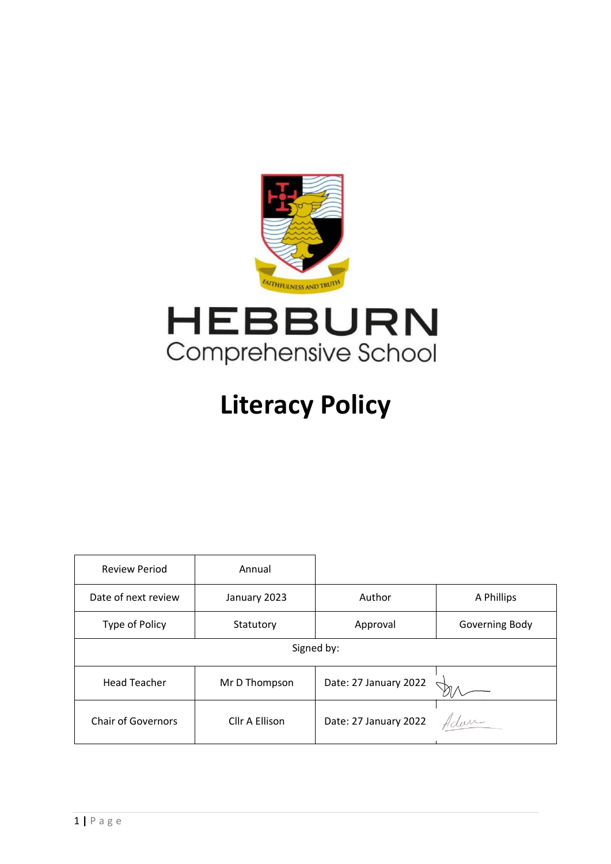

# **Literacy Policy**

| <b>Review Period</b>      | Annual         |                       |                |  |
|---------------------------|----------------|-----------------------|----------------|--|
| Date of next review       | January 2023   | Author                | A Phillips     |  |
| Type of Policy            | Statutory      | Approval              | Governing Body |  |
| Signed by:                |                |                       |                |  |
| <b>Head Teacher</b>       | Mr D Thompson  | Date: 27 January 2022 |                |  |
| <b>Chair of Governors</b> | Cllr A Ellison | Date: 27 January 2022 | Adam           |  |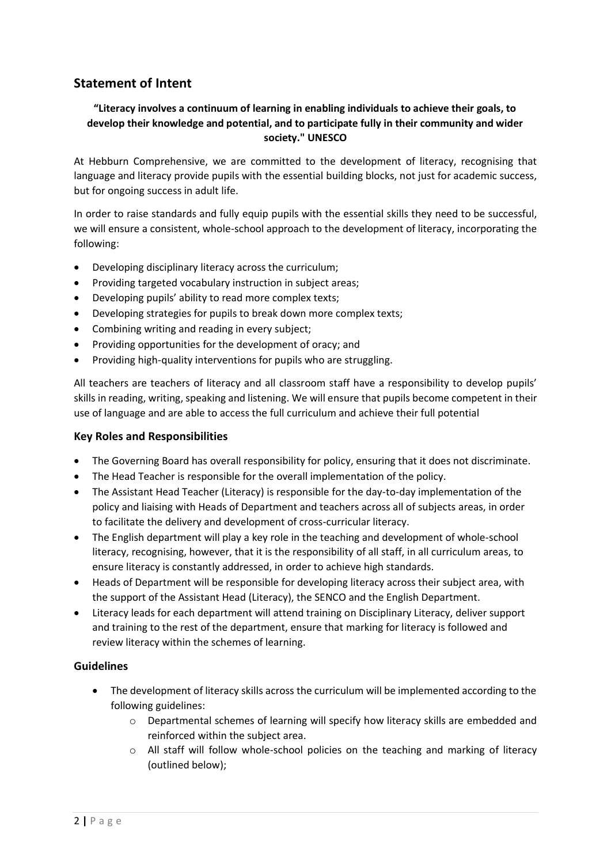## **Statement of Intent**

## **"Literacy involves a continuum of learning in enabling individuals to achieve their goals, to develop their knowledge and potential, and to participate fully in their community and wider society." UNESCO**

At Hebburn Comprehensive, we are committed to the development of literacy, recognising that language and literacy provide pupils with the essential building blocks, not just for academic success, but for ongoing success in adult life.

In order to raise standards and fully equip pupils with the essential skills they need to be successful, we will ensure a consistent, whole-school approach to the development of literacy, incorporating the following:

- Developing disciplinary literacy across the curriculum;
- Providing targeted vocabulary instruction in subject areas;
- Developing pupils' ability to read more complex texts;
- Developing strategies for pupils to break down more complex texts;
- Combining writing and reading in every subject;
- Providing opportunities for the development of oracy; and
- Providing high-quality interventions for pupils who are struggling.

All teachers are teachers of literacy and all classroom staff have a responsibility to develop pupils' skills in reading, writing, speaking and listening. We will ensure that pupils become competent in their use of language and are able to access the full curriculum and achieve their full potential

#### **Key Roles and Responsibilities**

- The Governing Board has overall responsibility for policy, ensuring that it does not discriminate.
- The Head Teacher is responsible for the overall implementation of the policy.
- The Assistant Head Teacher (Literacy) is responsible for the day-to-day implementation of the policy and liaising with Heads of Department and teachers across all of subjects areas, in order to facilitate the delivery and development of cross-curricular literacy.
- The English department will play a key role in the teaching and development of whole-school literacy, recognising, however, that it is the responsibility of all staff, in all curriculum areas, to ensure literacy is constantly addressed, in order to achieve high standards.
- Heads of Department will be responsible for developing literacy across their subject area, with the support of the Assistant Head (Literacy), the SENCO and the English Department.
- Literacy leads for each department will attend training on Disciplinary Literacy, deliver support and training to the rest of the department, ensure that marking for literacy is followed and review literacy within the schemes of learning.

#### **Guidelines**

- The development of literacy skills across the curriculum will be implemented according to the following guidelines:
	- o Departmental schemes of learning will specify how literacy skills are embedded and reinforced within the subject area.
	- o All staff will follow whole-school policies on the teaching and marking of literacy (outlined below);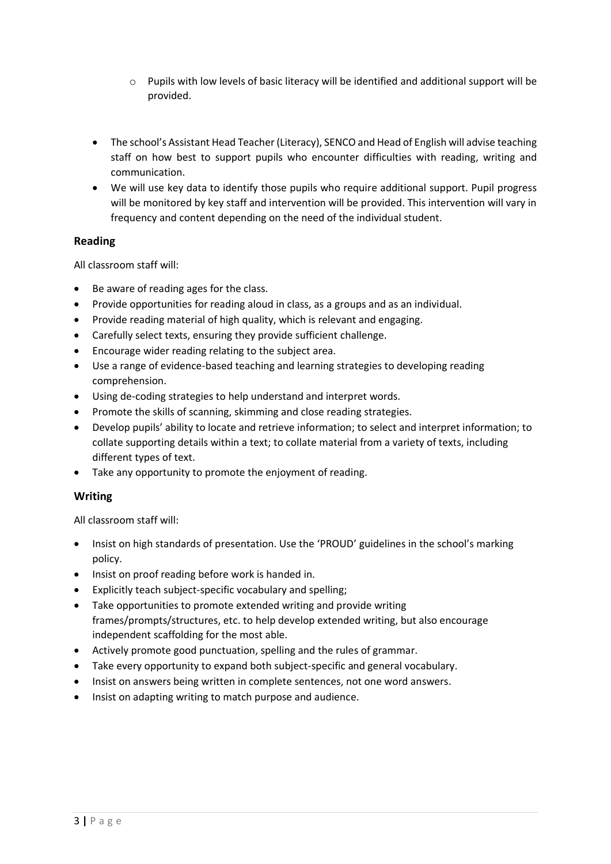- o Pupils with low levels of basic literacy will be identified and additional support will be provided.
- The school's Assistant Head Teacher (Literacy), SENCO and Head of English will advise teaching staff on how best to support pupils who encounter difficulties with reading, writing and communication.
- We will use key data to identify those pupils who require additional support. Pupil progress will be monitored by key staff and intervention will be provided. This intervention will vary in frequency and content depending on the need of the individual student.

### **Reading**

All classroom staff will:

- Be aware of reading ages for the class.
- Provide opportunities for reading aloud in class, as a groups and as an individual.
- Provide reading material of high quality, which is relevant and engaging.
- Carefully select texts, ensuring they provide sufficient challenge.
- Encourage wider reading relating to the subject area.
- Use a range of evidence-based teaching and learning strategies to developing reading comprehension.
- Using de-coding strategies to help understand and interpret words.
- Promote the skills of scanning, skimming and close reading strategies.
- Develop pupils' ability to locate and retrieve information; to select and interpret information; to collate supporting details within a text; to collate material from a variety of texts, including different types of text.
- Take any opportunity to promote the enjoyment of reading.

## **Writing**

All classroom staff will:

- Insist on high standards of presentation. Use the 'PROUD' guidelines in the school's marking policy.
- Insist on proof reading before work is handed in.
- Explicitly teach subject-specific vocabulary and spelling;
- Take opportunities to promote extended writing and provide writing frames/prompts/structures, etc. to help develop extended writing, but also encourage independent scaffolding for the most able.
- Actively promote good punctuation, spelling and the rules of grammar.
- Take every opportunity to expand both subject-specific and general vocabulary.
- Insist on answers being written in complete sentences, not one word answers.
- Insist on adapting writing to match purpose and audience.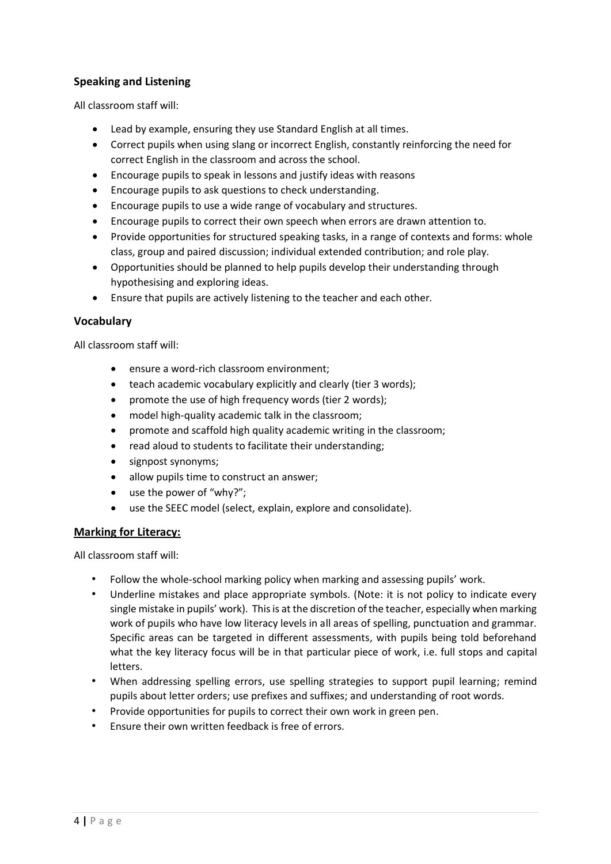## **Speaking and Listening**

All classroom staff will:

- Lead by example, ensuring they use Standard English at all times.
- Correct pupils when using slang or incorrect English, constantly reinforcing the need for correct English in the classroom and across the school.
- Encourage pupils to speak in lessons and justify ideas with reasons
- Encourage pupils to ask questions to check understanding.
- Encourage pupils to use a wide range of vocabulary and structures.
- Encourage pupils to correct their own speech when errors are drawn attention to.
- Provide opportunities for structured speaking tasks, in a range of contexts and forms: whole class, group and paired discussion; individual extended contribution; and role play.
- Opportunities should be planned to help pupils develop their understanding through hypothesising and exploring ideas.
- Ensure that pupils are actively listening to the teacher and each other.

#### **Vocabulary**

All classroom staff will:

- ensure a word-rich classroom environment;
- teach academic vocabulary explicitly and clearly (tier 3 words);
- promote the use of high frequency words (tier 2 words);
- model high-quality academic talk in the classroom;
- promote and scaffold high quality academic writing in the classroom;
- read aloud to students to facilitate their understanding;
- signpost synonyms;
- allow pupils time to construct an answer;
- use the power of "why?";
- use the SEEC model (select, explain, explore and consolidate).

#### **Marking for Literacy:**

All classroom staff will:

- Follow the whole-school marking policy when marking and assessing pupils' work.
- Underline mistakes and place appropriate symbols. (Note: it is not policy to indicate every single mistake in pupils' work). This is at the discretion of the teacher, especially when marking work of pupils who have low literacy levels in all areas of spelling, punctuation and grammar. Specific areas can be targeted in different assessments, with pupils being told beforehand what the key literacy focus will be in that particular piece of work, i.e. full stops and capital letters.
- When addressing spelling errors, use spelling strategies to support pupil learning; remind pupils about letter orders; use prefixes and suffixes; and understanding of root words.
- Provide opportunities for pupils to correct their own work in green pen.
- Ensure their own written feedback is free of errors.